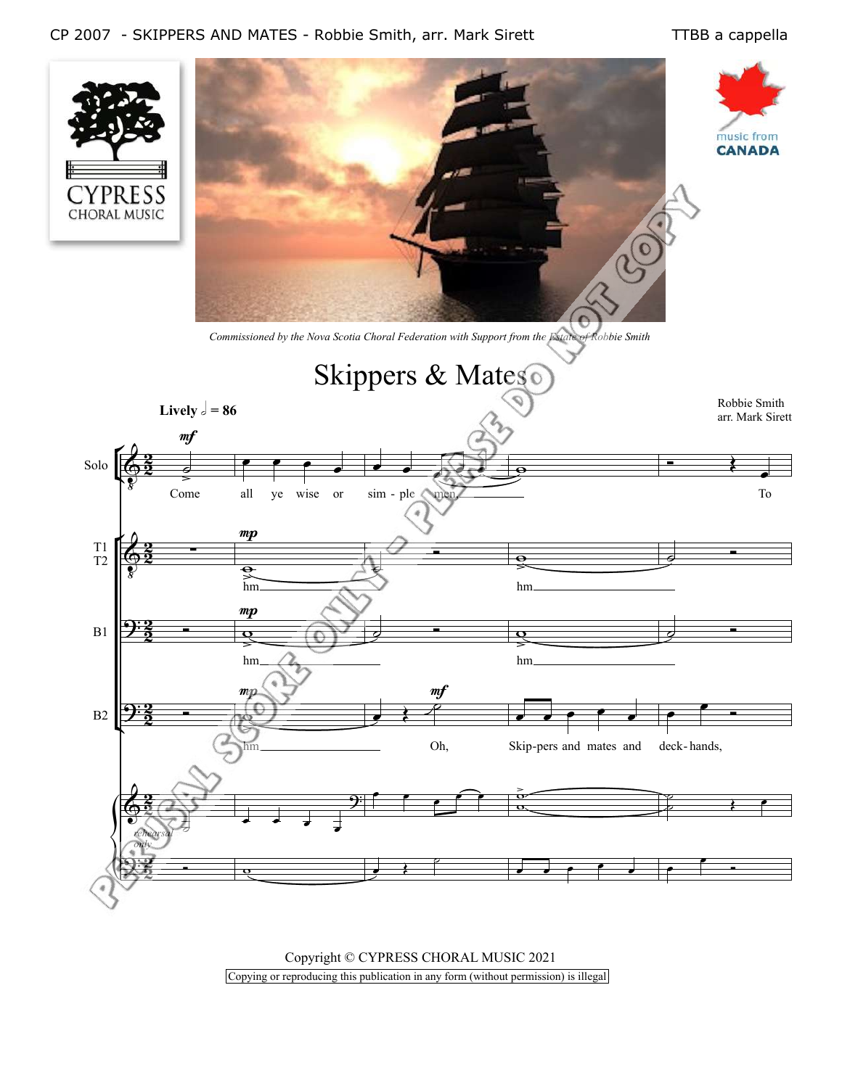## CP 2007 - SKIPPERS AND MATES - Robbie Smith, arr. Mark Sirett TTBB a cappella



Copyright © CYPRESS CHORAL MUSIC 2021 Copying or reproducing this publication in any form (without permission) is illegal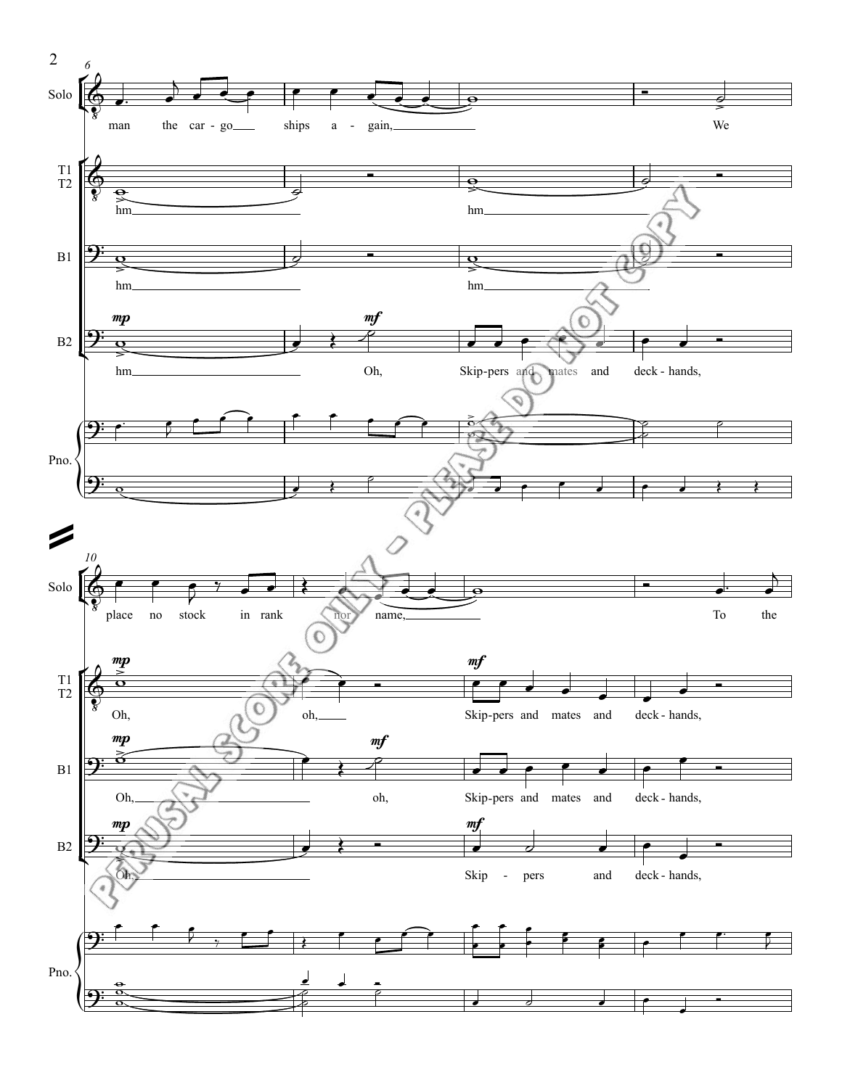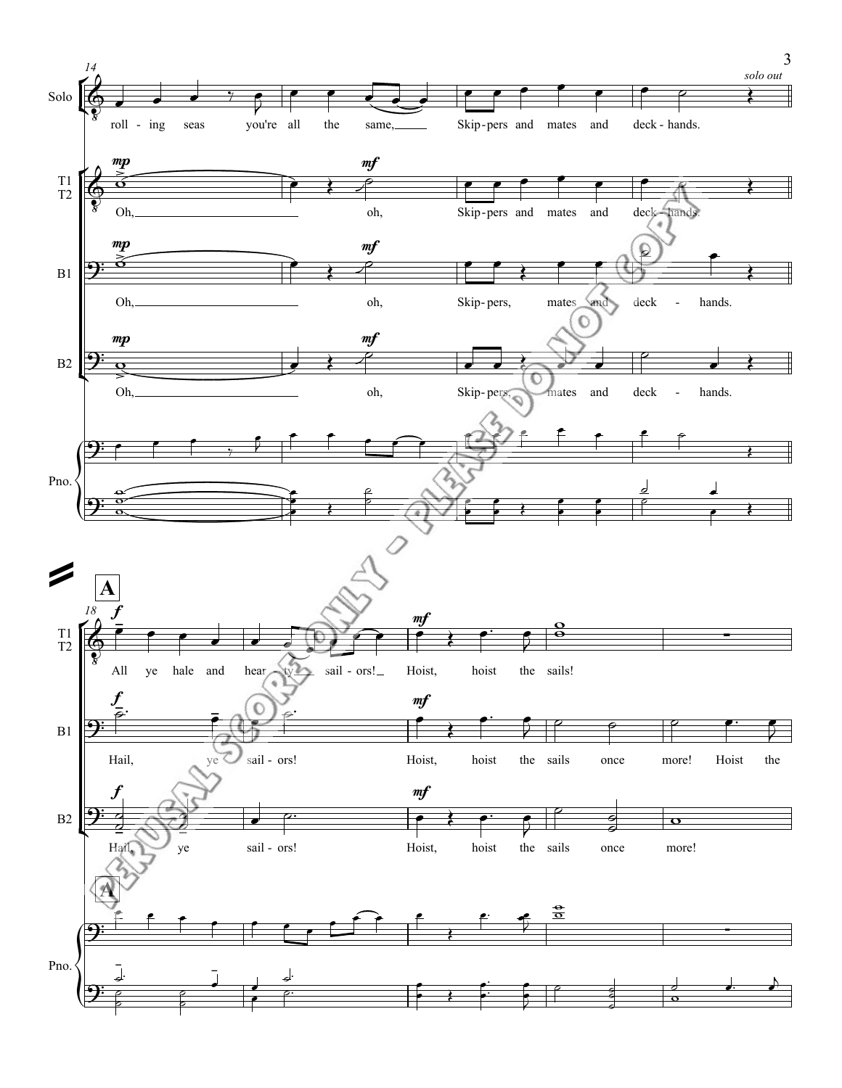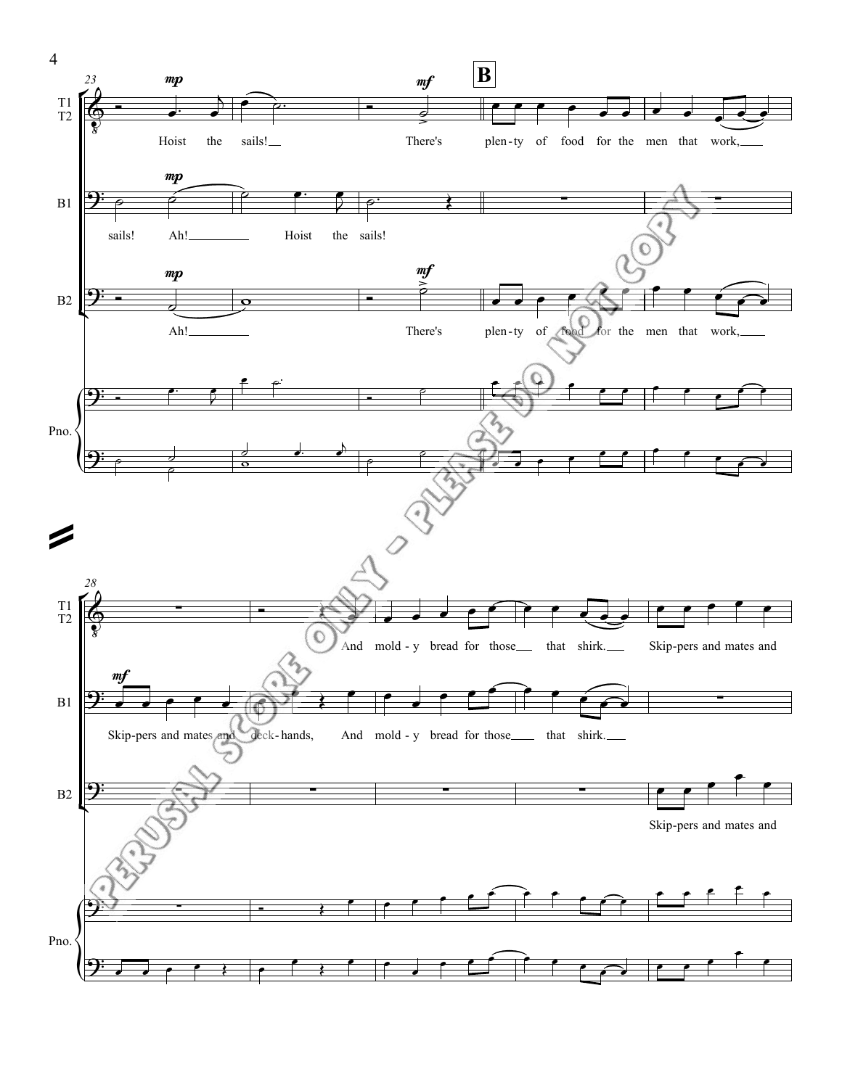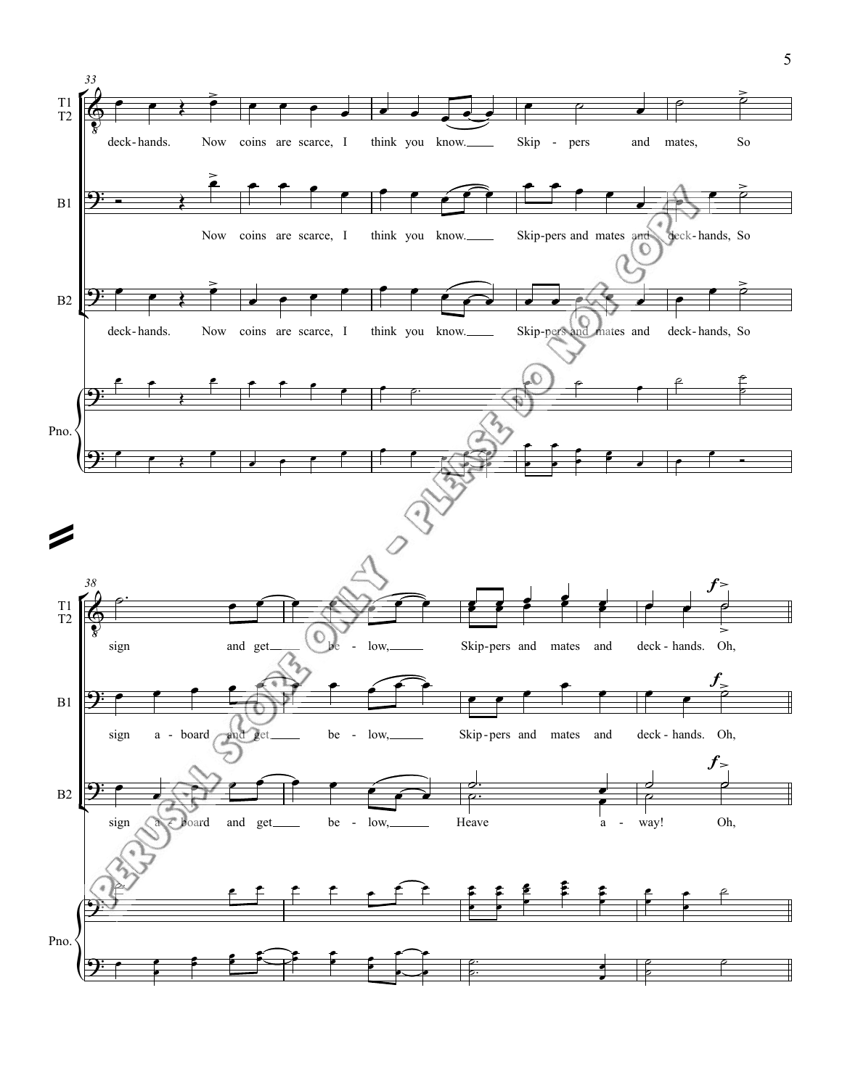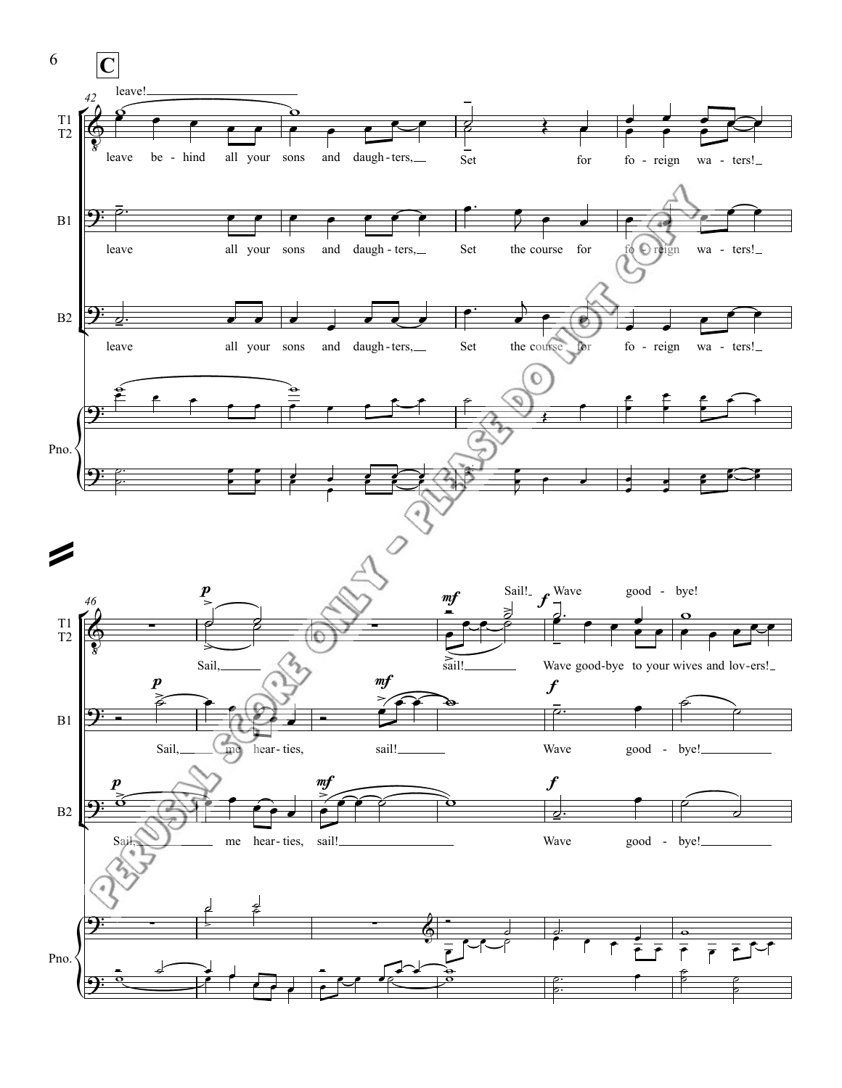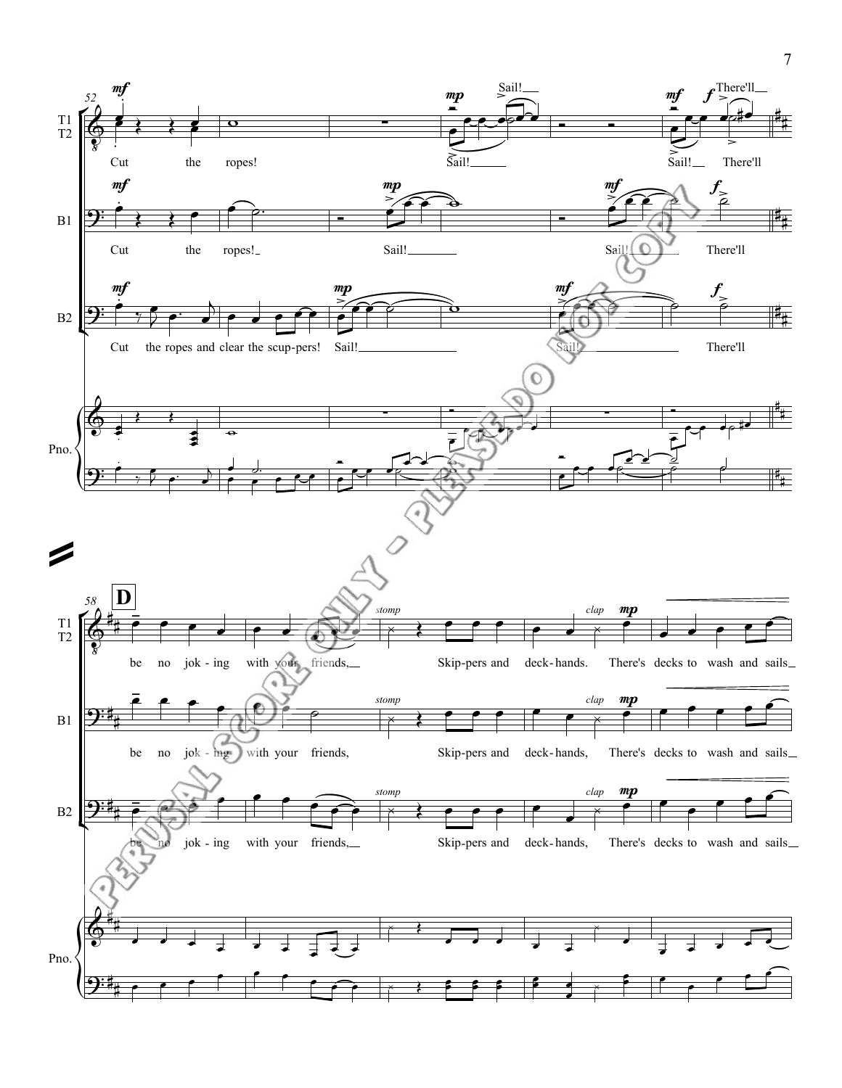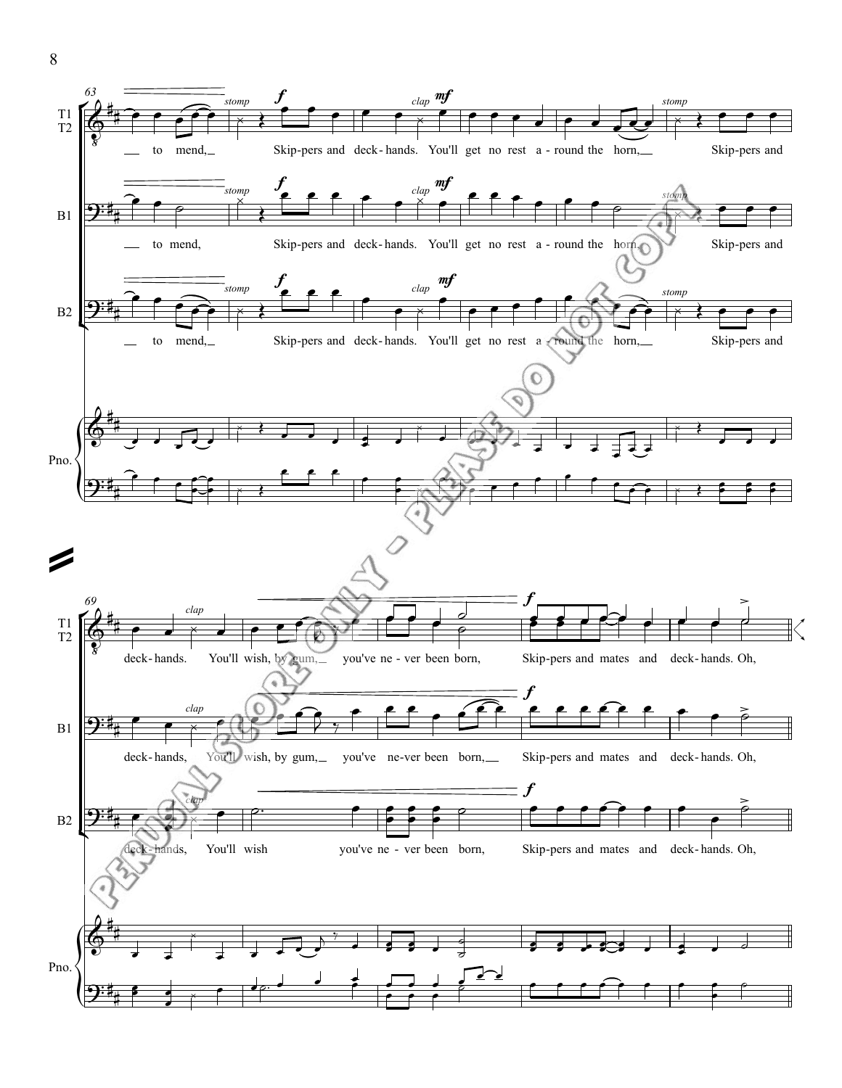

8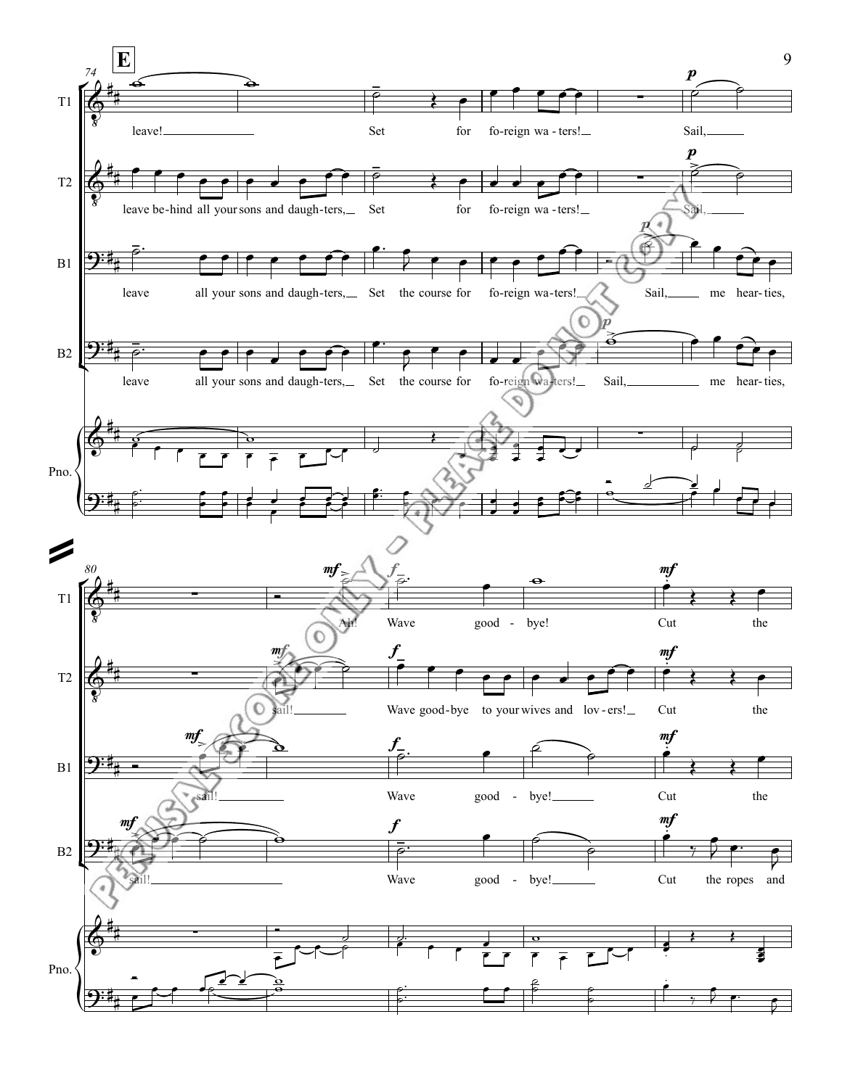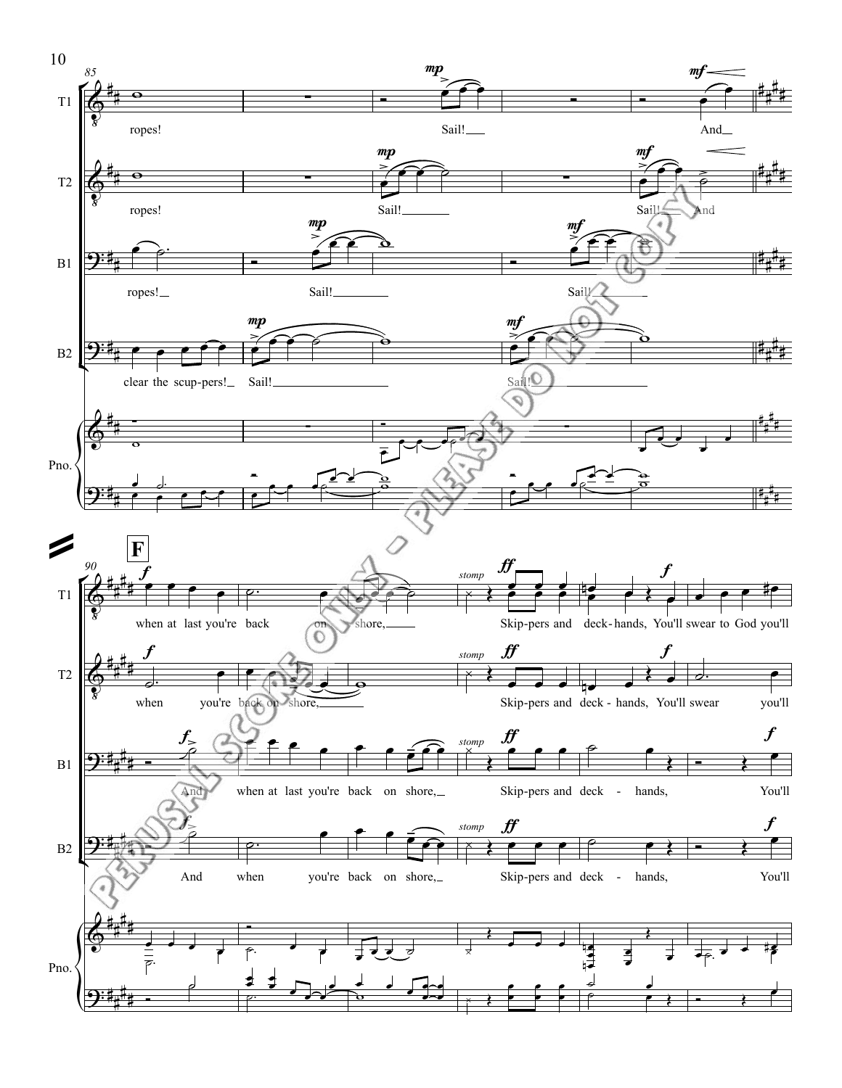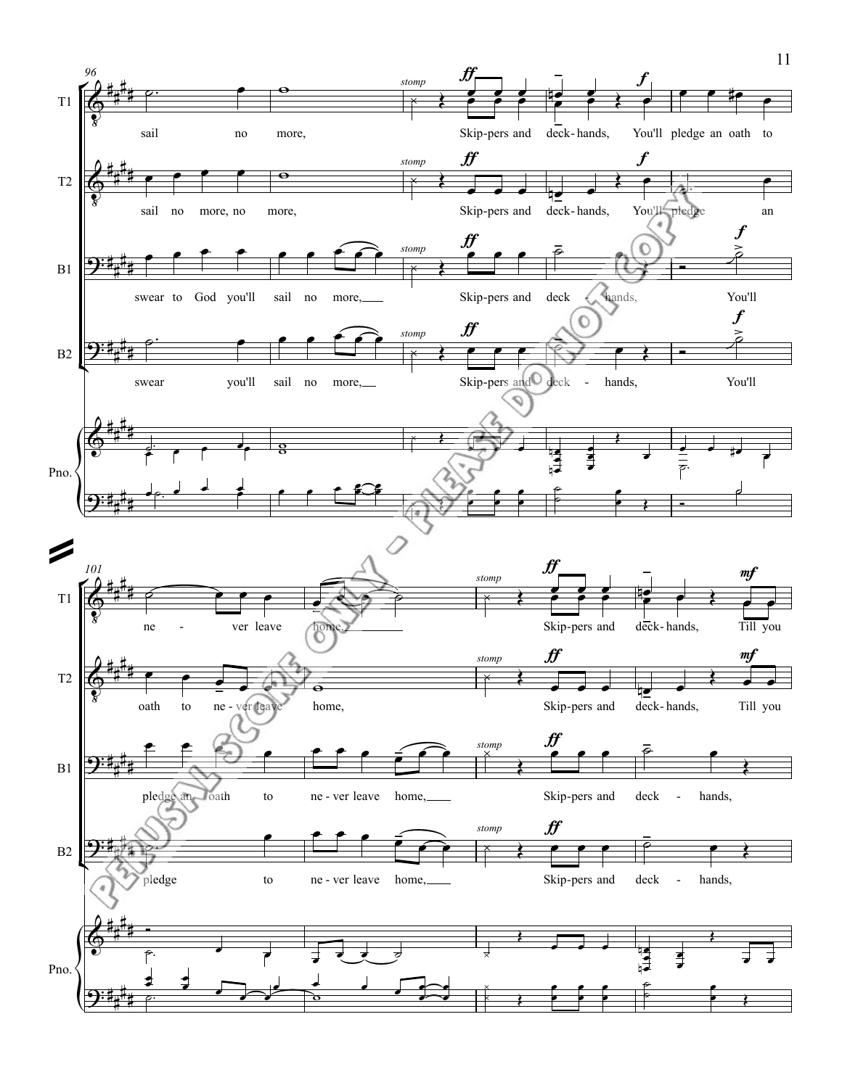